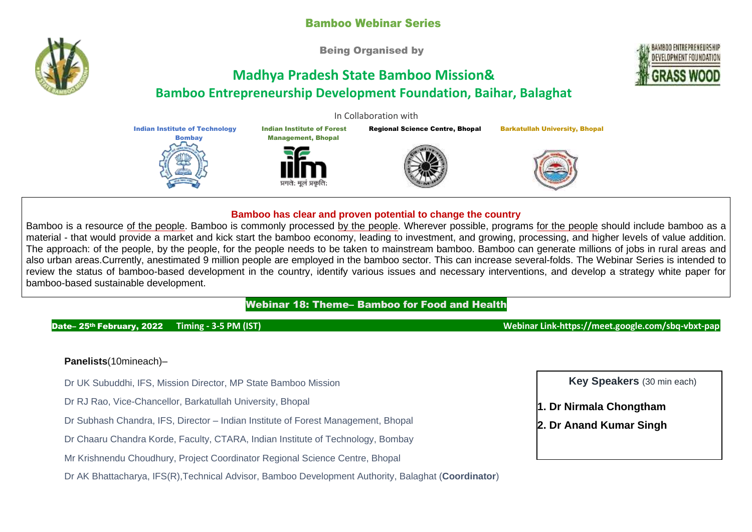## Bamboo Webinar Series

Being Organised by

# **Madhya Pradesh State Bamboo Mission& Bamboo Entrepreneurship Development Foundation, Baihar, Balaghat**

In Collaboration with

Indian Institute of Forest Management, Bhopal Regional Science Centre, Bhopal Barkatullah University, Bhopal

#### **Bamboo has clear and proven potential to change the country**

Bamboo is a resource of the people. Bamboo is commonly processed by the people. Wherever possible, programs for the people should include bamboo as a material - that would provide a market and kick start the bamboo economy, leading to investment, and growing, processing, and higher levels of value addition. The approach: of the people, by the people, for the people needs to be taken to mainstream bamboo. Bamboo can generate millions of jobs in rural areas and also urban areas.Currently, anestimated 9 million people are employed in the bamboo sector. This can increase several-folds. The Webinar Series is intended to review the status of bamboo-based development in the country, identify various issues and necessary interventions, and develop a strategy white paper for bamboo-based sustainable development.

### Webinar 18: Theme– Bamboo for Food and Health

#### Date– 25th February, 2022 **Timing - 3-5 PM (IST) Webinar Link-https://meet.google.com/sbq-vbxt-pap**

#### **Panelists**(10mineach)–

- Dr UK Subuddhi, IFS, Mission Director, MP State Bamboo Mission
- Dr RJ Rao, Vice-Chancellor, Barkatullah University, Bhopal

Indian Institute of Technology Bombay

- Dr Subhash Chandra, IFS, Director Indian Institute of Forest Management, Bhopal
- Dr Chaaru Chandra Korde, Faculty, CTARA, Indian Institute of Technology, Bombay
- Mr Krishnendu Choudhury, Project Coordinator Regional Science Centre, Bhopal

Dr AK Bhattacharya, IFS(R),Technical Advisor, Bamboo Development Authority, Balaghat (**Coordinator**)

**Key Speakers** (30 min each)

**1. Dr Nirmala Chongtham**

**2. Dr Anand Kumar Singh**